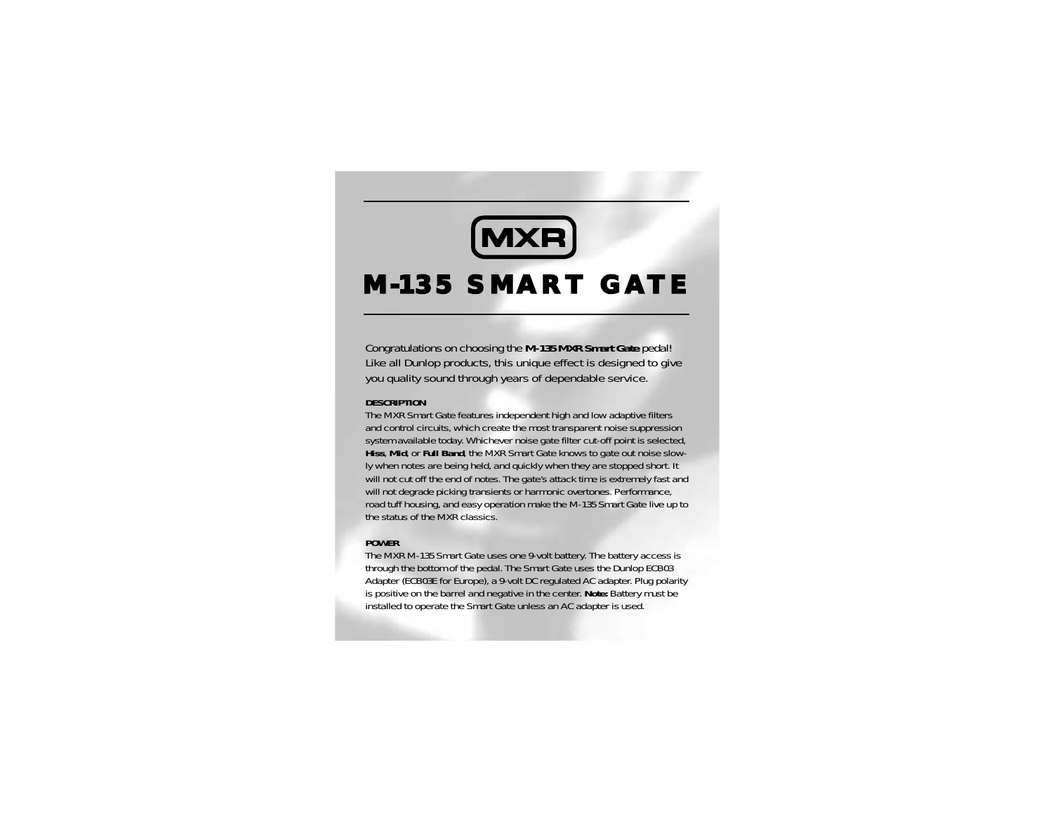# **MXR**

## M-135 SMART GATE

Congratulations on choosing the **M-135 MXR Smart Gate** pedal! Like all Dunlop products, this unique effect is designed to give you quality sound through years of dependable service.

#### **DESCRIPTION**

The MXR Smart Gate features independent high and low adaptive filters and control circuits, which create the most transparent noise suppression system available today. Whichever noise gate filter cut-off point is selected, **Hiss**, **Mid**, or **Full Band**, the MXR Smart Gate knows to gate out noise slowly when notes are being held, and quickly when they are stopped short. It will not cut off the end of notes. The gate's attack time is extremely fast and will not degrade picking transients or harmonic overtones. Performance, road tuff housing, and easy operation make the M-135 Smart Gate live up to the status of the MXR classics.

#### **POWER**

The MXR M-135 Smart Gate uses one 9-volt battery. The battery access is through the bottom of the pedal. The Smart Gate uses the Dunlop ECB03 Adapter (ECB03E for Europe), a 9-volt DC regulated AC adapter. Plug polarity is positive on the barrel and negative in the center. **Note:** Battery must be installed to operate the Smart Gate unless an AC adapter is used.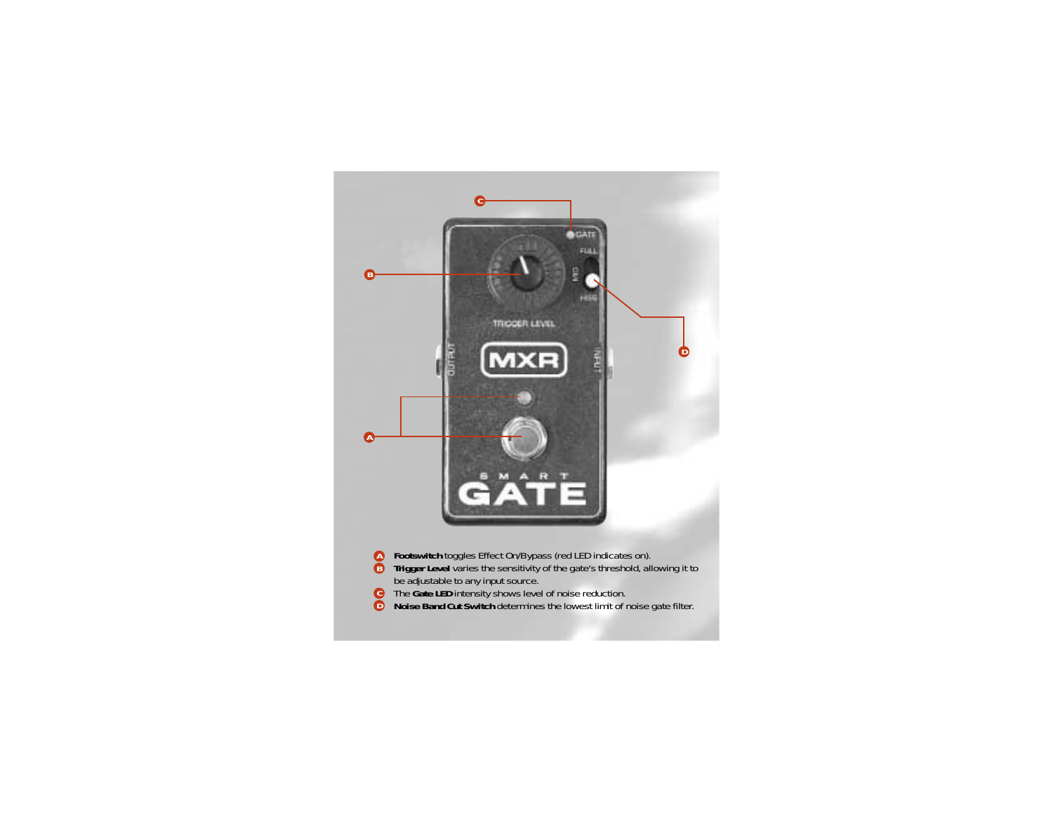

- **Footswitch** toggles Effect On/Bypass (red LED indicates on).
- **Trigger Level** varies the sensitivity of the gate's threshold, allowing it to be adjustable to any input source. **A B**
- The **Gate LED** intensity shows level of noise reduction. **C D**
- **Noise Band Cut Switch** determines the lowest limit of noise gate filter.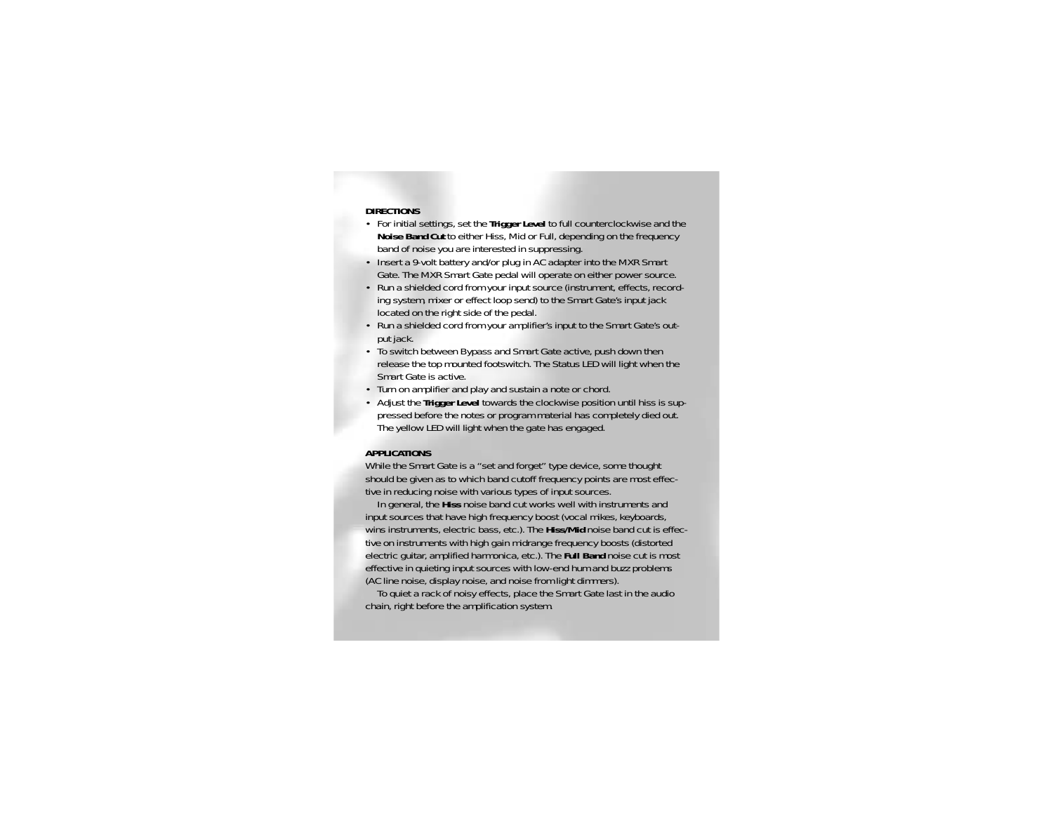#### **DIRECTIONS**

- For initial settings, set the **Trigger Level** to full counterclockwise and the **Noise Band Cut** to either Hiss, Mid or Full, depending on the frequency band of noise you are interested in suppressing.
- Insert a 9-volt battery and/or plug in AC adapter into the MXR Smart Gate. The MXR Smart Gate pedal will operate on either power source.
- Run a shielded cord from your input source (instrument, effects, recording system, mixer or effect loop send) to the Smart Gate's input jack located on the right side of the pedal.
- Run a shielded cord from your amplifier's input to the Smart Gate's output jack.
- To switch between Bypass and Smart Gate active, push down then release the top mounted footswitch. The Status LED will light when the Smart Gate is active.
- Turn on amplifier and play and sustain a note or chord.
- Adjust the **Trigger Level** towards the clockwise position until hiss is suppressed before the notes or program material has completely died out. The yellow LED will light when the gate has engaged.

#### **APPLICATIONS**

While the Smart Gate is a "set and forget" type device, some thought should be given as to which band cutoff frequency points are most effective in reducing noise with various types of input sources.

In general, the **Hiss** noise band cut works well with instruments and input sources that have high frequency boost (vocal mikes, keyboards, wins instruments, electric bass, etc.). The **Hiss/Mid** noise band cut is effective on instruments with high gain midrange frequency boosts (distorted electric guitar, amplified harmonica, etc.). The **Full Band** noise cut is most effective in quieting input sources with low-end hum and buzz problems (AC line noise, display noise, and noise from light dimmers).

To quiet a rack of noisy effects, place the Smart Gate last in the audio chain, right before the amplification system.